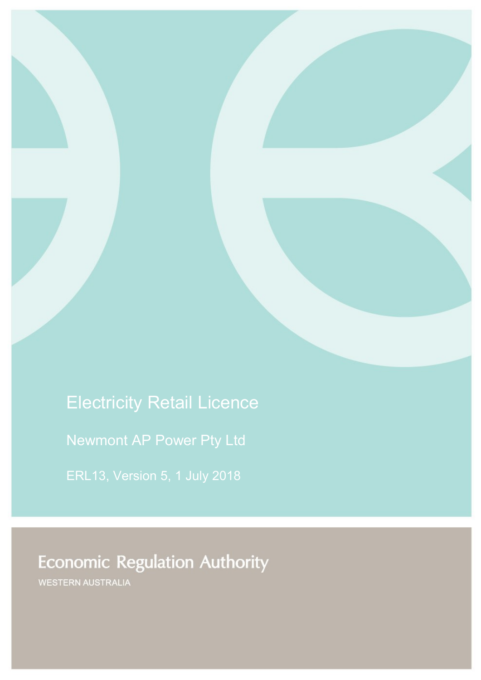# Electricity Retail Licence

Newmont AP Power Pty Ltd

ERL13, Version 5, 1 July 2018

# **Economic Regulation Authority**

WESTERN AUSTRALIA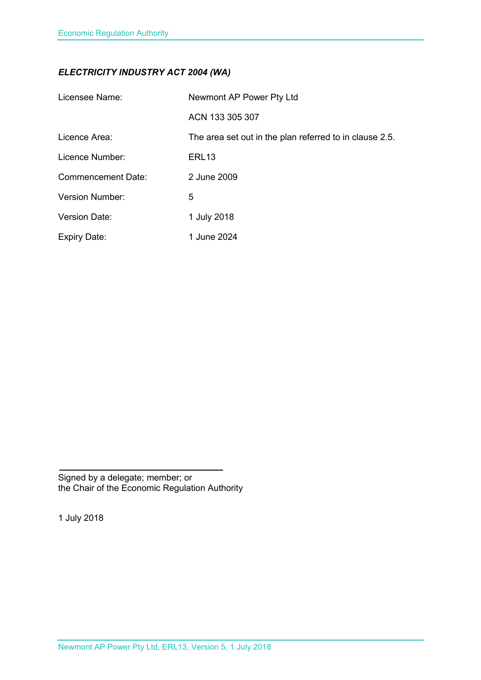### *ELECTRICITY INDUSTRY ACT 2004 (WA)*

| Licensee Name:            | Newmont AP Power Pty Ltd                                |
|---------------------------|---------------------------------------------------------|
|                           | ACN 133 305 307                                         |
| Licence Area:             | The area set out in the plan referred to in clause 2.5. |
| Licence Number:           | ERL <sub>13</sub>                                       |
| <b>Commencement Date:</b> | 2 June 2009                                             |
| Version Number:           | 5                                                       |
| <b>Version Date:</b>      | 1 July 2018                                             |
| <b>Expiry Date:</b>       | 1 June 2024                                             |

Signed by a delegate; member; or the Chair of the Economic Regulation Authority

1 July 2018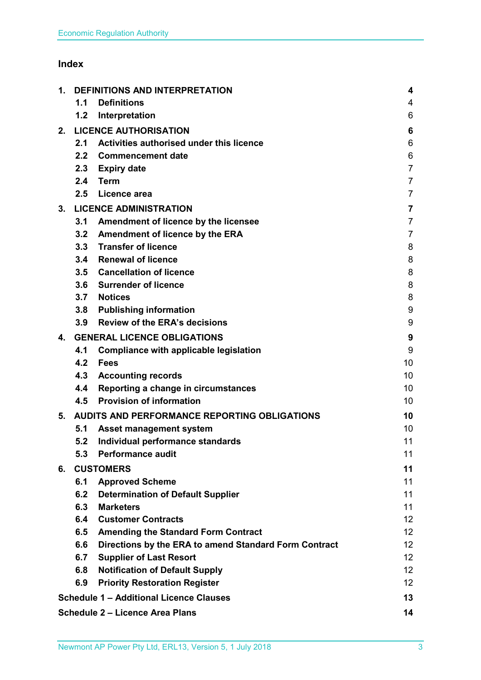### **Index**

| 1. |     | <b>DEFINITIONS AND INTERPRETATION</b>                 |                         |
|----|-----|-------------------------------------------------------|-------------------------|
|    | 1.1 | <b>Definitions</b>                                    | 4                       |
|    | 1.2 | Interpretation                                        | 6                       |
| 2. |     | <b>LICENCE AUTHORISATION</b>                          | 6                       |
|    | 2.1 | Activities authorised under this licence              | 6                       |
|    | 2.2 | <b>Commencement date</b>                              | 6                       |
|    | 2.3 | <b>Expiry date</b>                                    | $\overline{7}$          |
|    | 2.4 | <b>Term</b>                                           | $\overline{7}$          |
|    | 2.5 | Licence area                                          | $\overline{7}$          |
| 3. |     | <b>LICENCE ADMINISTRATION</b>                         | $\overline{\mathbf{7}}$ |
|    | 3.1 | Amendment of licence by the licensee                  | $\overline{7}$          |
|    | 3.2 | Amendment of licence by the ERA                       | $\overline{7}$          |
|    |     | 3.3 Transfer of licence                               | 8                       |
|    | 3.4 | <b>Renewal of licence</b>                             | 8                       |
|    |     | 3.5 Cancellation of licence                           | 8                       |
|    | 3.6 | <b>Surrender of licence</b>                           | 8                       |
|    | 3.7 | <b>Notices</b>                                        | 8                       |
|    | 3.8 | <b>Publishing information</b>                         | 9                       |
|    | 3.9 | <b>Review of the ERA's decisions</b>                  | 9                       |
| 4. |     | <b>GENERAL LICENCE OBLIGATIONS</b>                    | 9                       |
|    | 4.1 | <b>Compliance with applicable legislation</b>         | 9                       |
|    | 4.2 | <b>Fees</b>                                           | 10                      |
|    | 4.3 | <b>Accounting records</b>                             | 10 <sup>1</sup>         |
|    | 4.4 | Reporting a change in circumstances                   | 10                      |
|    | 4.5 | <b>Provision of information</b>                       | 10                      |
| 5. |     | AUDITS AND PERFORMANCE REPORTING OBLIGATIONS          | 10                      |
|    | 5.1 | <b>Asset management system</b>                        | 10                      |
|    | 5.2 | Individual performance standards                      | 11                      |
|    | 5.3 | <b>Performance audit</b>                              | 11                      |
| 6. |     | <b>CUSTOMERS</b>                                      | 11                      |
|    | 6.1 | <b>Approved Scheme</b>                                | 11                      |
|    | 6.2 | <b>Determination of Default Supplier</b>              | 11                      |
|    | 6.3 | <b>Marketers</b>                                      | 11                      |
|    | 6.4 | <b>Customer Contracts</b>                             | 12 <sup>°</sup>         |
|    | 6.5 | <b>Amending the Standard Form Contract</b>            | 12 <sub>2</sub>         |
|    | 6.6 | Directions by the ERA to amend Standard Form Contract | 12 <sub>2</sub>         |
|    | 6.7 | <b>Supplier of Last Resort</b>                        | 12 <sub>2</sub>         |
|    | 6.8 | <b>Notification of Default Supply</b>                 | 12 <sup>2</sup>         |
|    | 6.9 | <b>Priority Restoration Register</b>                  | 12                      |
|    |     | <b>Schedule 1 - Additional Licence Clauses</b>        | 13                      |
|    |     | <b>Schedule 2 - Licence Area Plans</b>                | 14                      |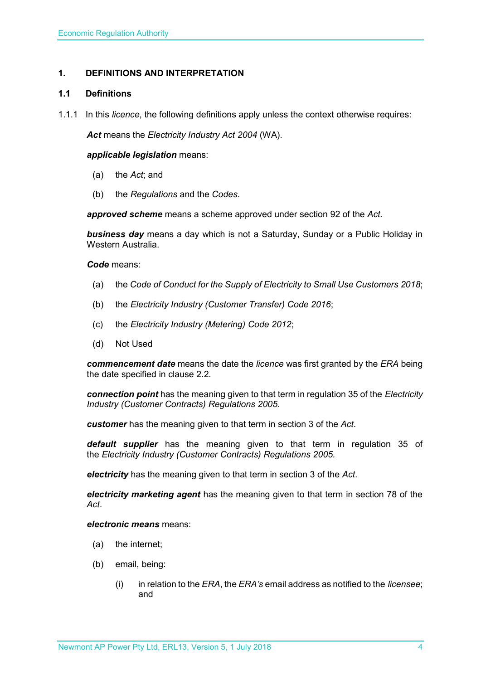#### <span id="page-3-0"></span>**1. DEFINITIONS AND INTERPRETATION**

#### <span id="page-3-1"></span>**1.1 Definitions**

1.1.1 In this *licence*, the following definitions apply unless the context otherwise requires:

*Act* means the *Electricity Industry Act 2004* (WA).

#### *applicable legislation* means:

- (a) the *Act*; and
- (b) the *Regulations* and the *Codes*.

*approved scheme* means a scheme approved under section 92 of the *Act.* 

*business day* means a day which is not a Saturday, Sunday or a Public Holiday in Western Australia.

*Code* means:

- (a) the *Code of Conduct for the Supply of Electricity to Small Use Customers 2018*;
- (b) the *Electricity Industry (Customer Transfer) Code 2016*;
- (c) the *Electricity Industry (Metering) Code 2012*;
- (d) Not Used

*commencement date* means the date the *licence* was first granted by the *ERA* being the date specified in clause 2.2.

*connection point* has the meaning given to that term in regulation 35 of the *[Electricity](http://www.slp.wa.gov.au/legislation/statutes.nsf/main_mrtitle_1345_homepage.html)  [Industry \(Customer Contracts\) Regulations 2005](http://www.slp.wa.gov.au/legislation/statutes.nsf/main_mrtitle_1345_homepage.html)*.

*customer* has the meaning given to that term in section 3 of the *Act*.

*default supplier* has the meaning given to that term in regulation 35 of the *Electricity [Industry \(Customer Contracts\) Regulations 2005.](http://www.slp.wa.gov.au/legislation/statutes.nsf/main_mrtitle_1345_homepage.html)*

*electricity* has the meaning given to that term in section 3 of the *Act*.

*electricity marketing agent* has the meaning given to that term in section 78 of the *Act*.

#### *electronic means* means:

- (a) the internet;
- (b) email, being:
	- (i) in relation to the *ERA*, the *ERA's* email address as notified to the *licensee*; and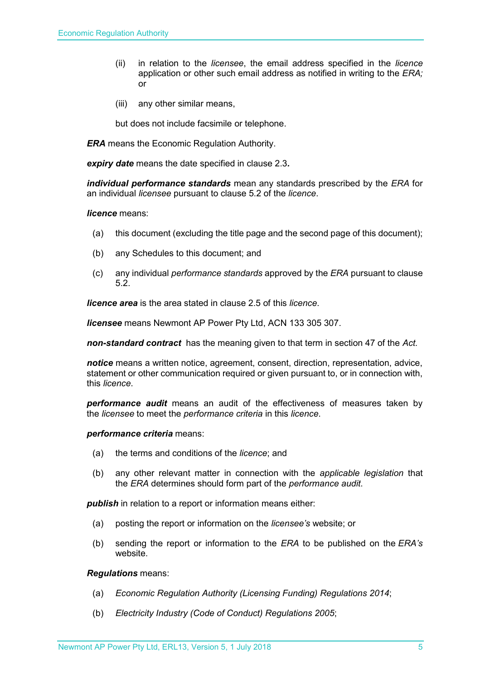- (ii) in relation to the *licensee*, the email address specified in the *licence* application or other such email address as notified in writing to the *ERA;* or
- (iii) any other similar means,

but does not include facsimile or telephone.

*ERA* means the Economic Regulation Authority.

*expiry date* means the date specified in clause 2.3*.*

*individual performance standards* mean any standards prescribed by the *ERA* for an individual *licensee* pursuant to clause 5.2 of the *licence*.

#### *licence* means:

- (a) this document (excluding the title page and the second page of this document);
- (b) any Schedules to this document; and
- (c) any individual *performance standards* approved by the *ERA* pursuant to clause 5.2.

*licence area* is the area stated in clause 2.5 of this *licence*.

*licensee* means Newmont AP Power Pty Ltd, ACN 133 305 307.

*non-standard contract* has the meaning given to that term in section 47 of the *Act.* 

*notice* means a written notice, agreement, consent, direction, representation, advice, statement or other communication required or given pursuant to, or in connection with, this *licence*.

*performance audit* means an audit of the effectiveness of measures taken by the *licensee* to meet the *performance criteria* in this *licence*.

#### *performance criteria* means:

- (a) the terms and conditions of the *licence*; and
- (b) any other relevant matter in connection with the *applicable legislation* that the *ERA* determines should form part of the *performance audit*.

*publish* in relation to a report or information means either:

- (a) posting the report or information on the *licensee's* website; or
- (b) sending the report or information to the *ERA* to be published on the *ERA's* website.

#### *Regulations* means:

- (a) *Economic Regulation Authority (Licensing Funding) Regulations 2014*;
- (b) *Electricity Industry (Code of Conduct) Regulations 2005*;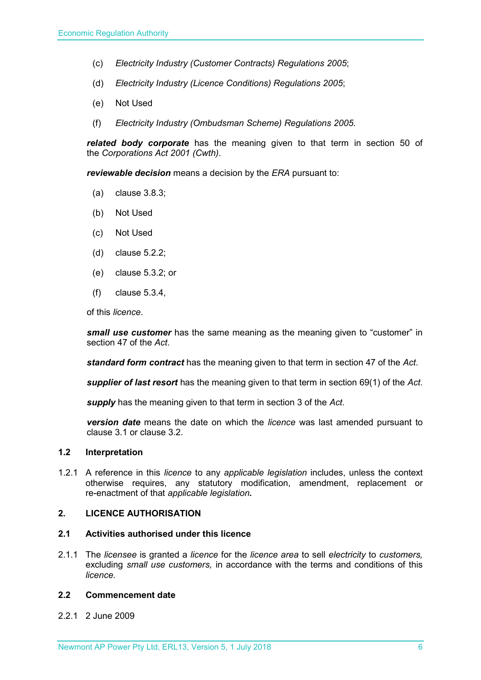- (c) *Electricity Industry (Customer Contracts) Regulations 2005*;
- (d) *Electricity Industry (Licence Conditions) Regulations 2005*;
- (e) Not Used
- (f) *Electricity Industry (Ombudsman Scheme) Regulations 2005.*

*related body corporate* has the meaning given to that term in section 50 of the *Corporations Act 2001 (Cwth)*.

*reviewable decision* means a decision by the *ERA* pursuant to:

- (a) clause 3.8.3;
- (b) Not Used
- (c) Not Used
- (d) clause 5.2.2;
- (e) clause 5.3.2; or
- (f) clause 5.3.4,

of this *licence*.

*small use customer* has the same meaning as the meaning given to "customer" in section 47 of the *Act*.

*standard form contract* has the meaning given to that term in section 47 of the *Act*.

*supplier of last resort* has the meaning given to that term in section 69(1) of the *Act*.

*supply* has the meaning given to that term in section 3 of the *Act*.

*version date* means the date on which the *licence* was last amended pursuant to clause 3.1 or clause 3.2.

#### <span id="page-5-0"></span>**1.2 Interpretation**

1.2.1 A reference in this *licence* to any *applicable legislation* includes, unless the context otherwise requires, any statutory modification, amendment, replacement or re-enactment of that *applicable legislation.*

#### <span id="page-5-1"></span>**2. LICENCE AUTHORISATION**

#### <span id="page-5-2"></span>**2.1 Activities authorised under this licence**

2.1.1 The *licensee* is granted a *licence* for the *licence area* to sell *electricity* to *customers,*  excluding *small use customers,* in accordance with the terms and conditions of this *licence.*

#### <span id="page-5-3"></span>**2.2 Commencement date**

2.2.1 2 June 2009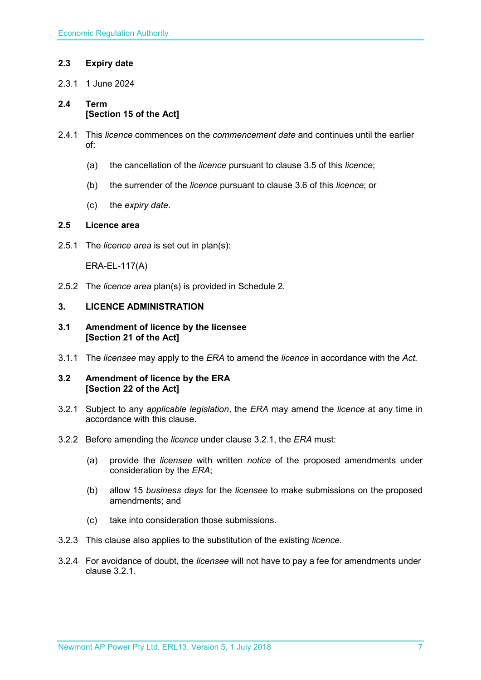#### <span id="page-6-0"></span>**2.3 Expiry date**

2.3.1 1 June 2024

#### <span id="page-6-1"></span>**2.4 Term [Section 15 of the Act]**

- 2.4.1 This *licence* commences on the *commencement date* and continues until the earlier of:
	- (a) the cancellation of the *licence* pursuant to clause 3.5 of this *licence*;
	- (b) the surrender of the *licence* pursuant to clause 3.6 of this *licence*; or
	- (c) the *expiry date*.

#### <span id="page-6-2"></span>**2.5 Licence area**

2.5.1 The *licence area* is set out in plan(s):

ERA-EL-117(A)

2.5.2 The *licence area* plan(s) is provided in Schedule 2.

#### <span id="page-6-3"></span>**3. LICENCE ADMINISTRATION**

#### <span id="page-6-4"></span>**3.1 Amendment of licence by the licensee [Section 21 of the Act]**

3.1.1 The *licensee* may apply to the *ERA* to amend the *licence* in accordance with the *Act.*

#### <span id="page-6-5"></span>**3.2 Amendment of licence by the ERA [Section 22 of the Act]**

- 3.2.1 Subject to any *applicable legislation*, the *ERA* may amend the *licence* at any time in accordance with this clause.
- 3.2.2 Before amending the *licence* under clause 3.2.1, the *ERA* must:
	- (a) provide the *licensee* with written *notice* of the proposed amendments under consideration by the *ERA*;
	- (b) allow 15 *business days* for the *licensee* to make submissions on the proposed amendments; and
	- (c) take into consideration those submissions.
- 3.2.3 This clause also applies to the substitution of the existing *licence*.
- 3.2.4 For avoidance of doubt, the *licensee* will not have to pay a fee for amendments under clause 3.2.1.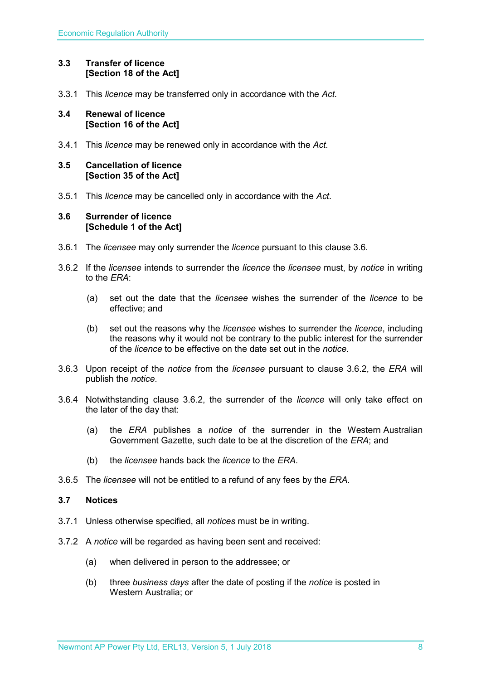#### <span id="page-7-0"></span>**3.3 Transfer of licence [Section 18 of the Act]**

3.3.1 This *licence* may be transferred only in accordance with the *Act.*

#### <span id="page-7-1"></span>**3.4 Renewal of licence [Section 16 of the Act]**

3.4.1 This *licence* may be renewed only in accordance with the *Act*.

#### <span id="page-7-2"></span>**3.5 Cancellation of licence [Section 35 of the Act]**

3.5.1 This *licence* may be cancelled only in accordance with the *Act*.

#### <span id="page-7-3"></span>**3.6 Surrender of licence [Schedule 1 of the Act]**

- 3.6.1 The *licensee* may only surrender the *licence* pursuant to this clause 3.6.
- 3.6.2 If the *licensee* intends to surrender the *licence* the *licensee* must, by *notice* in writing to the *ERA*:
	- (a) set out the date that the *licensee* wishes the surrender of the *licence* to be effective; and
	- (b) set out the reasons why the *licensee* wishes to surrender the *licence*, including the reasons why it would not be contrary to the public interest for the surrender of the *licence* to be effective on the date set out in the *notice*.
- 3.6.3 Upon receipt of the *notice* from the *licensee* pursuant to clause 3.6.2, the *ERA* will publish the *notice*.
- 3.6.4 Notwithstanding clause 3.6.2, the surrender of the *licence* will only take effect on the later of the day that:
	- (a) the *ERA* publishes a *notice* of the surrender in the Western Australian Government Gazette, such date to be at the discretion of the *ERA*; and
	- (b) the *licensee* hands back the *licence* to the *ERA*.
- 3.6.5 The *licensee* will not be entitled to a refund of any fees by the *ERA*.

#### <span id="page-7-4"></span>**3.7 Notices**

- 3.7.1 Unless otherwise specified, all *notices* must be in writing.
- 3.7.2 A *notice* will be regarded as having been sent and received:
	- (a) when delivered in person to the addressee; or
	- (b) three *business days* after the date of posting if the *notice* is posted in Western Australia; or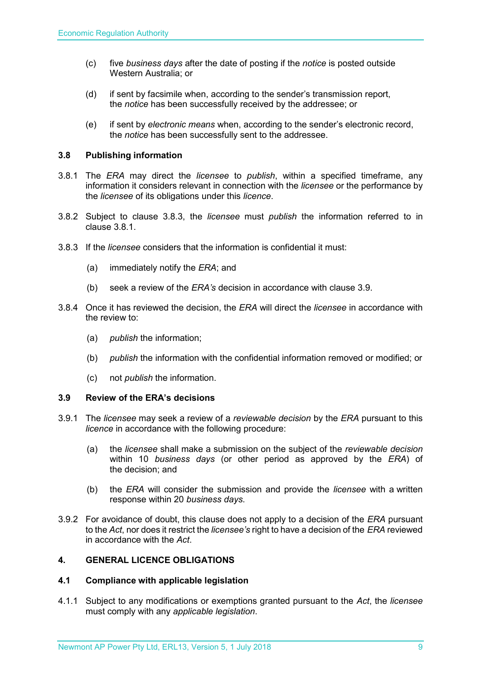- (c) five *business days* after the date of posting if the *notice* is posted outside Western Australia; or
- (d) if sent by facsimile when, according to the sender's transmission report, the *notice* has been successfully received by the addressee; or
- (e) if sent by *electronic means* when, according to the sender's electronic record, the *notice* has been successfully sent to the addressee.

#### <span id="page-8-0"></span>**3.8 Publishing information**

- 3.8.1 The *ERA* may direct the *licensee* to *publish*, within a specified timeframe, any information it considers relevant in connection with the *licensee* or the performance by the *licensee* of its obligations under this *licence*.
- 3.8.2 Subject to clause 3.8.3, the *licensee* must *publish* the information referred to in clause 3.8.1.
- 3.8.3 If the *licensee* considers that the information is confidential it must:
	- (a) immediately notify the *ERA*; and
	- (b) seek a review of the *ERA's* decision in accordance with clause 3.9.
- 3.8.4 Once it has reviewed the decision, the *ERA* will direct the *licensee* in accordance with the review to:
	- (a) *publish* the information;
	- (b) *publish* the information with the confidential information removed or modified; or
	- (c) not *publish* the information.

#### <span id="page-8-1"></span>**3.9 Review of the ERA's decisions**

- 3.9.1 The *licensee* may seek a review of a *reviewable decision* by the *ERA* pursuant to this *licence* in accordance with the following procedure:
	- (a) the *licensee* shall make a submission on the subject of the *reviewable decision* within 10 *business days* (or other period as approved by the *ERA*) of the decision; and
	- (b) the *ERA* will consider the submission and provide the *licensee* with a written response within 20 *business days*.
- 3.9.2 For avoidance of doubt, this clause does not apply to a decision of the *ERA* pursuant to the *Act*, nor does it restrict the *licensee's* right to have a decision of the *ERA* reviewed in accordance with the *Act*.

#### <span id="page-8-2"></span>**4. GENERAL LICENCE OBLIGATIONS**

#### <span id="page-8-3"></span>**4.1 Compliance with applicable legislation**

4.1.1 Subject to any modifications or exemptions granted pursuant to the *Act*, the *licensee* must comply with any *applicable legislation*.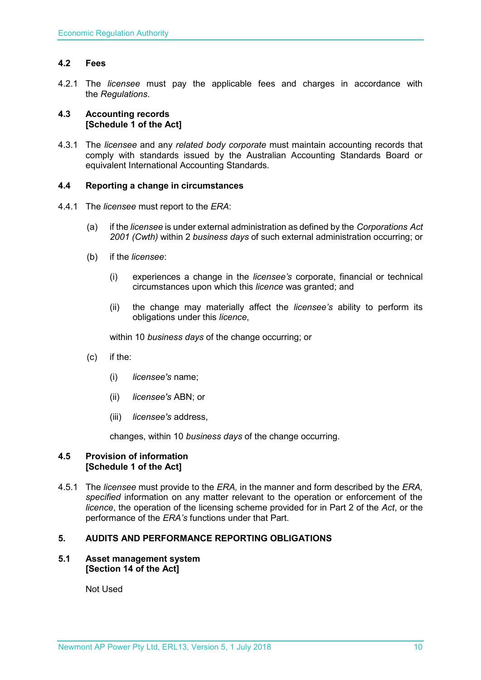#### <span id="page-9-0"></span>**4.2 Fees**

4.2.1 The *licensee* must pay the applicable fees and charges in accordance with the *Regulations*.

#### <span id="page-9-1"></span>**4.3 Accounting records [Schedule 1 of the Act]**

4.3.1 The *licensee* and any *related body corporate* must maintain accounting records that comply with standards issued by the Australian Accounting Standards Board or equivalent International Accounting Standards.

#### <span id="page-9-2"></span>**4.4 Reporting a change in circumstances**

- 4.4.1 The *licensee* must report to the *ERA*:
	- (a) if the *licensee* is under external administration as defined by the *Corporations Act 2001 (Cwth)* within 2 *business days* of such external administration occurring; or
	- (b) if the *licensee*:
		- (i) experiences a change in the *licensee's* corporate, financial or technical circumstances upon which this *licence* was granted; and
		- (ii) the change may materially affect the *licensee's* ability to perform its obligations under this *licence*,

within 10 *business days* of the change occurring; or

- (c) if the:
	- (i) *licensee's* name;
	- (ii) *licensee's* ABN; or
	- (iii) *licensee's* address,

changes, within 10 *business days* of the change occurring.

#### <span id="page-9-3"></span>**4.5 Provision of information [Schedule 1 of the Act]**

4.5.1 The *licensee* must provide to the *ERA,* in the manner and form described by the *ERA, specified* information on any matter relevant to the operation or enforcement of the *licence*, the operation of the licensing scheme provided for in Part 2 of the *Act*, or the performance of the *ERA's* functions under that Part.

#### <span id="page-9-4"></span>**5. AUDITS AND PERFORMANCE REPORTING OBLIGATIONS**

#### <span id="page-9-5"></span>**5.1 Asset management system [Section 14 of the Act]**

Not Used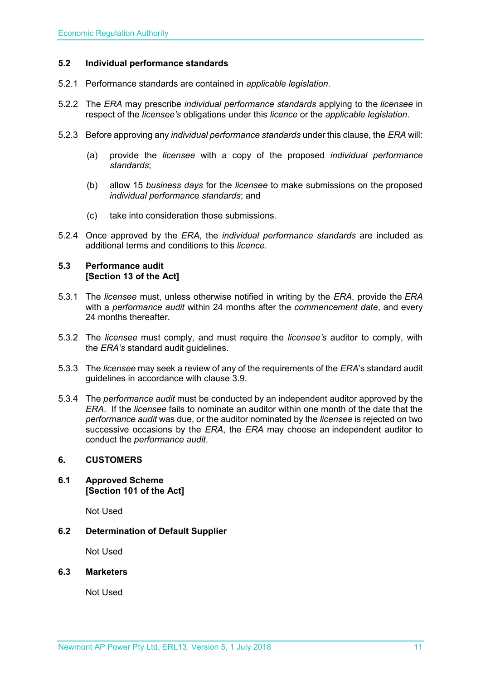#### <span id="page-10-0"></span>**5.2 Individual performance standards**

- 5.2.1 Performance standards are contained in *applicable legislation*.
- 5.2.2 The *ERA* may prescribe *individual performance standards* applying to the *licensee* in respect of the *licensee's* obligations under this *licence* or the *applicable legislation*.
- 5.2.3 Before approving any *individual performance standards* under this clause, the *ERA* will:
	- (a) provide the *licensee* with a copy of the proposed *individual performance standards*;
	- (b) allow 15 *business days* for the *licensee* to make submissions on the proposed *individual performance standards*; and
	- (c) take into consideration those submissions.
- 5.2.4 Once approved by the *ERA*, the *individual performance standards* are included as additional terms and conditions to this *licence*.

#### <span id="page-10-1"></span>**5.3 Performance audit [Section 13 of the Act]**

- 5.3.1 The *licensee* must, unless otherwise notified in writing by the *ERA*, provide the *ERA* with a *performance audit* within 24 months after the *commencement date*, and every 24 months thereafter.
- 5.3.2 The *licensee* must comply, and must require the *licensee's* auditor to comply, with the *ERA's* standard audit guidelines.
- 5.3.3 The *licensee* may seek a review of any of the requirements of the *ERA*'s standard audit guidelines in accordance with clause 3.9.
- 5.3.4 The *performance audit* must be conducted by an independent auditor approved by the *ERA*. If the *licensee* fails to nominate an auditor within one month of the date that the *performance audit* was due, or the auditor nominated by the *licensee* is rejected on two successive occasions by the *ERA*, the *ERA* may choose an independent auditor to conduct the *performance audit*.

#### <span id="page-10-2"></span>**6. CUSTOMERS**

<span id="page-10-3"></span>**6.1 Approved Scheme [Section 101 of the Act]**

Not Used

<span id="page-10-4"></span>**6.2 Determination of Default Supplier** 

Not Used

#### <span id="page-10-5"></span>**6.3 Marketers**

Not Used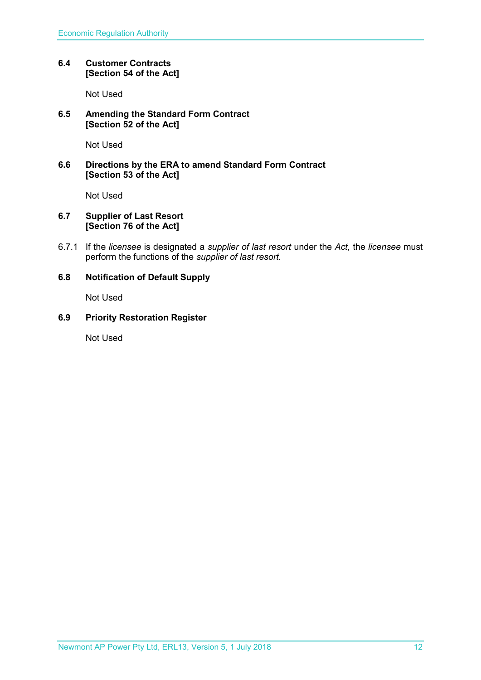#### <span id="page-11-0"></span>**6.4 Customer Contracts [Section 54 of the Act]**

Not Used

#### <span id="page-11-1"></span>**6.5 Amending the Standard Form Contract [Section 52 of the Act]**

Not Used

#### <span id="page-11-2"></span>**6.6 Directions by the ERA to amend Standard Form Contract [Section 53 of the Act]**

Not Used

#### <span id="page-11-3"></span>**6.7 Supplier of Last Resort [Section 76 of the Act]**

6.7.1 If the *licensee* is designated a *supplier of last resort* under the *Act,* the *licensee* must perform the functions of the *supplier of last resort.* 

#### <span id="page-11-4"></span>**6.8 Notification of Default Supply**

Not Used

#### <span id="page-11-5"></span>**6.9 Priority Restoration Register**

Not Used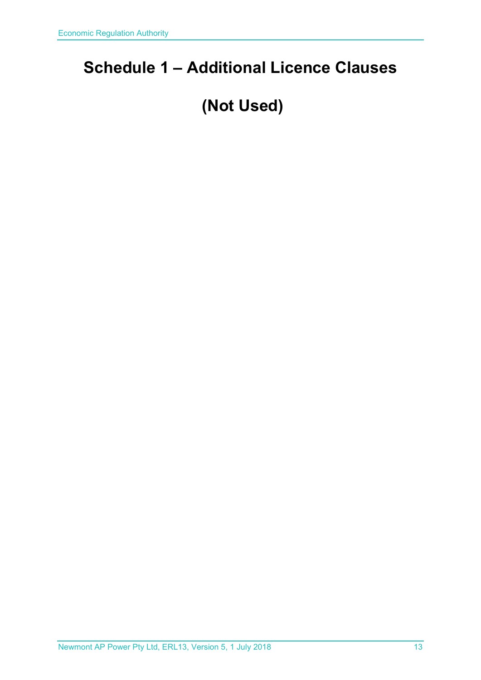### <span id="page-12-0"></span>**Schedule 1 – Additional Licence Clauses**

## **(Not Used)**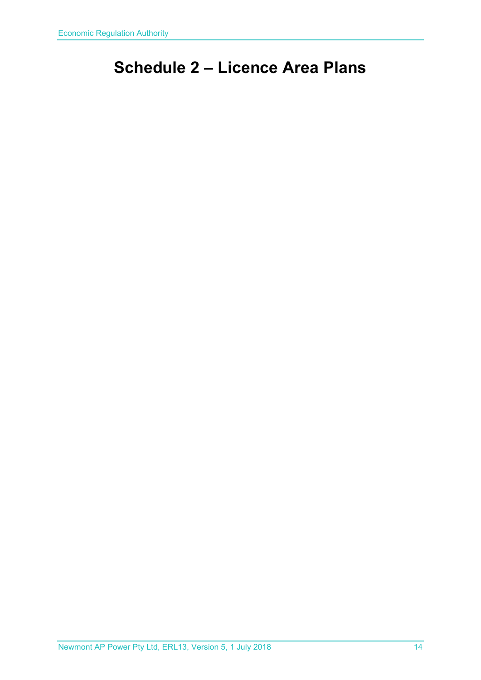## <span id="page-13-0"></span>**Schedule 2 – Licence Area Plans**